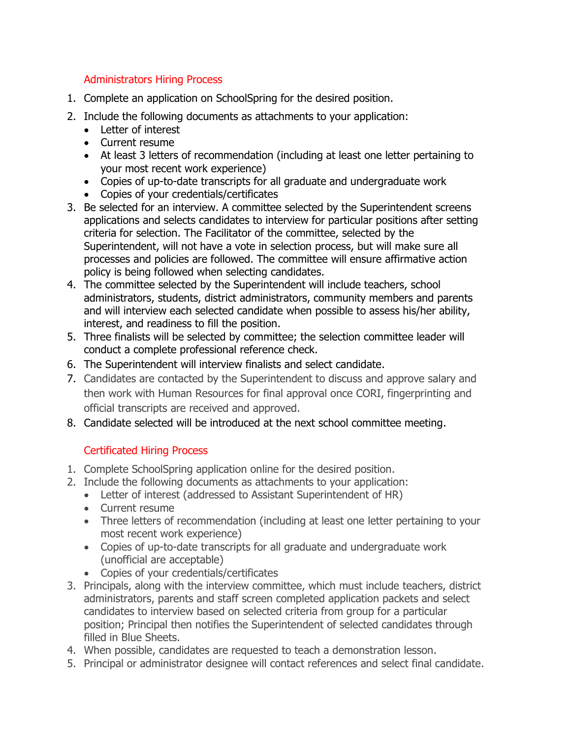## Administrators Hiring Process

- 1. Complete an application on SchoolSpring for the desired position.
- 2. Include the following documents as attachments to your application:
	- Letter of interest
	- Current resume
	- At least 3 letters of recommendation (including at least one letter pertaining to your most recent work experience)
	- Copies of up-to-date transcripts for all graduate and undergraduate work
	- Copies of your credentials/certificates
- 3. Be selected for an interview. A committee selected by the Superintendent screens applications and selects candidates to interview for particular positions after setting criteria for selection. The Facilitator of the committee, selected by the Superintendent, will not have a vote in selection process, but will make sure all processes and policies are followed. The committee will ensure affirmative action policy is being followed when selecting candidates.
- 4. The committee selected by the Superintendent will include teachers, school administrators, students, district administrators, community members and parents and will interview each selected candidate when possible to assess his/her ability, interest, and readiness to fill the position.
- 5. Three finalists will be selected by committee; the selection committee leader will conduct a complete professional reference check.
- 6. The Superintendent will interview finalists and select candidate.
- 7. Candidates are contacted by the Superintendent to discuss and approve salary and then work with Human Resources for final approval once CORI, fingerprinting and official transcripts are received and approved.
- 8. Candidate selected will be introduced at the next school committee meeting.

## Certificated Hiring Process

- 1. Complete SchoolSpring application online for the desired position.
- 2. Include the following documents as attachments to your application:
	- Letter of interest (addressed to Assistant Superintendent of HR)
	- Current resume
	- Three letters of recommendation (including at least one letter pertaining to your most recent work experience)
	- Copies of up-to-date transcripts for all graduate and undergraduate work (unofficial are acceptable)
	- Copies of your credentials/certificates
- 3. Principals, along with the interview committee, which must include teachers, district administrators, parents and staff screen completed application packets and select candidates to interview based on selected criteria from group for a particular position; Principal then notifies the Superintendent of selected candidates through filled in Blue Sheets.
- 4. When possible, candidates are requested to teach a demonstration lesson.
- 5. Principal or administrator designee will contact references and select final candidate.